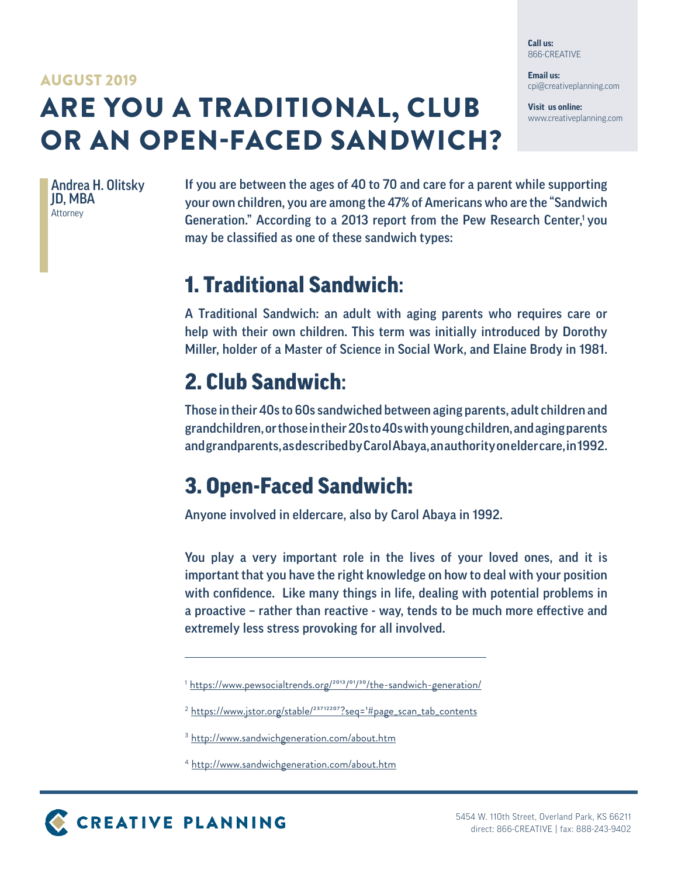**Call us:** 866-CREATIVE

**Email us:** cpi@creativeplanning.com

**Visit us online:** www.creativeplanning.com

## ARE YOU A TRADITIONAL, CLUB OR AN OPEN-FACED SANDWICH? AUGUST 2019

Andrea H. Olitsky JD, MBA Attorney

If you are between the ages of 40 to 70 and care for a parent while supporting your own children, you are among the 47% of Americans who are the "Sandwich Generation." According to a 2013 report from the Pew Research Center,<sup>1</sup> you may be classified as one of these sandwich types:

## 1. Traditional Sandwich:

A Traditional Sandwich: an adult with aging parents who requires care or help with their own children. This term was initially introduced by Dorothy Miller, holder of a Master of Science in Social Work, and Elaine Brody in 1981.

## 2. Club Sandwich:

Those in their 40s to 60s sandwiched between aging parents, adult children and grandchildren, or those in their 20s to 40s with young children, and aging parents and grandparents, as described by Carol Abaya, an authority on elder care, in 1992.

## 3. Open-Faced Sandwich:

Anyone involved in eldercare, also by Carol Abaya in 1992.

You play a very important role in the lives of your loved ones, and it is important that you have the right knowledge on how to deal with your position with confidence. Like many things in life, dealing with potential problems in a proactive – rather than reactive - way, tends to be much more effective and extremely less stress provoking for all involved.

<sup>&</sup>lt;sup>1</sup> https://www.pewsocialtrends.org/<sup>2013</sup>/<sup>01</sup>/<sup>30</sup>/the-sandwich-generation/

<sup>&</sup>lt;sup>2</sup> https://www.jstor.org/stable/<sup>23712207</sup>?seq=<sup>1</sup>#page\_scan\_tab\_contents

<sup>&</sup>lt;sup>3</sup> http://www.sandwichgeneration.com/about.htm

<sup>4</sup> http://www.sandwichgeneration.com/about.htm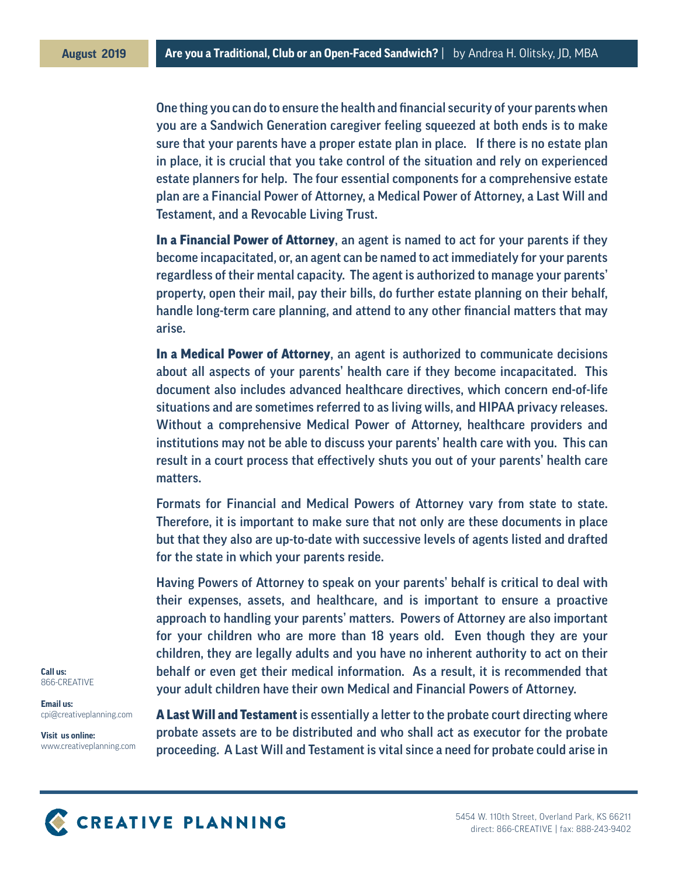One thing you can do to ensure the health and financial security of your parents when you are a Sandwich Generation caregiver feeling squeezed at both ends is to make sure that your parents have a proper estate plan in place. If there is no estate plan in place, it is crucial that you take control of the situation and rely on experienced estate planners for help. The four essential components for a comprehensive estate plan are a Financial Power of Attorney, a Medical Power of Attorney, a Last Will and Testament, and a Revocable Living Trust.

In a Financial Power of Attorney, an agent is named to act for your parents if they become incapacitated, or, an agent can be named to act immediately for your parents regardless of their mental capacity. The agent is authorized to manage your parents' property, open their mail, pay their bills, do further estate planning on their behalf, handle long-term care planning, and attend to any other financial matters that may arise.

In a Medical Power of Attorney, an agent is authorized to communicate decisions about all aspects of your parents' health care if they become incapacitated. This document also includes advanced healthcare directives, which concern end-of-life situations and are sometimes referred to as living wills, and HIPAA privacy releases. Without a comprehensive Medical Power of Attorney, healthcare providers and institutions may not be able to discuss your parents' health care with you. This can result in a court process that effectively shuts you out of your parents' health care matters.

Formats for Financial and Medical Powers of Attorney vary from state to state. Therefore, it is important to make sure that not only are these documents in place but that they also are up-to-date with successive levels of agents listed and drafted for the state in which your parents reside.

Having Powers of Attorney to speak on your parents' behalf is critical to deal with their expenses, assets, and healthcare, and is important to ensure a proactive approach to handling your parents' matters. Powers of Attorney are also important for your children who are more than 18 years old. Even though they are your children, they are legally adults and you have no inherent authority to act on their behalf or even get their medical information. As a result, it is recommended that your adult children have their own Medical and Financial Powers of Attorney.

**Call us:** 866-CREATIVE

**Email us:** cpi@creativeplanning.com

**Visit us online:** www.creativeplanning.com **A Last Will and Testament** is essentially a letter to the probate court directing where probate assets are to be distributed and who shall act as executor for the probate proceeding. A Last Will and Testament is vital since a need for probate could arise in